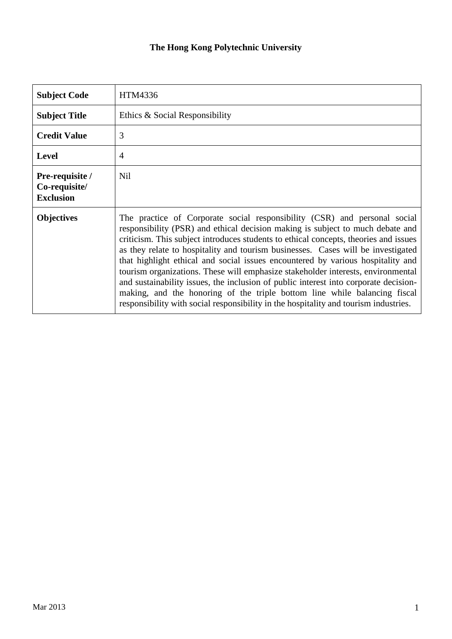## **The Hong Kong Polytechnic University**

| <b>Subject Code</b>                                  | HTM4336                                                                                                                                                                                                                                                                                                                                                                                                                                                                                                                                                                                                                                                                                                                                                                     |  |  |
|------------------------------------------------------|-----------------------------------------------------------------------------------------------------------------------------------------------------------------------------------------------------------------------------------------------------------------------------------------------------------------------------------------------------------------------------------------------------------------------------------------------------------------------------------------------------------------------------------------------------------------------------------------------------------------------------------------------------------------------------------------------------------------------------------------------------------------------------|--|--|
| <b>Subject Title</b>                                 | Ethics & Social Responsibility                                                                                                                                                                                                                                                                                                                                                                                                                                                                                                                                                                                                                                                                                                                                              |  |  |
| <b>Credit Value</b>                                  | 3                                                                                                                                                                                                                                                                                                                                                                                                                                                                                                                                                                                                                                                                                                                                                                           |  |  |
| <b>Level</b>                                         | 4                                                                                                                                                                                                                                                                                                                                                                                                                                                                                                                                                                                                                                                                                                                                                                           |  |  |
| Pre-requisite /<br>Co-requisite/<br><b>Exclusion</b> | Nil                                                                                                                                                                                                                                                                                                                                                                                                                                                                                                                                                                                                                                                                                                                                                                         |  |  |
| <b>Objectives</b>                                    | The practice of Corporate social responsibility (CSR) and personal social<br>responsibility (PSR) and ethical decision making is subject to much debate and<br>criticism. This subject introduces students to ethical concepts, theories and issues<br>as they relate to hospitality and tourism businesses. Cases will be investigated<br>that highlight ethical and social issues encountered by various hospitality and<br>tourism organizations. These will emphasize stakeholder interests, environmental<br>and sustainability issues, the inclusion of public interest into corporate decision-<br>making, and the honoring of the triple bottom line while balancing fiscal<br>responsibility with social responsibility in the hospitality and tourism industries. |  |  |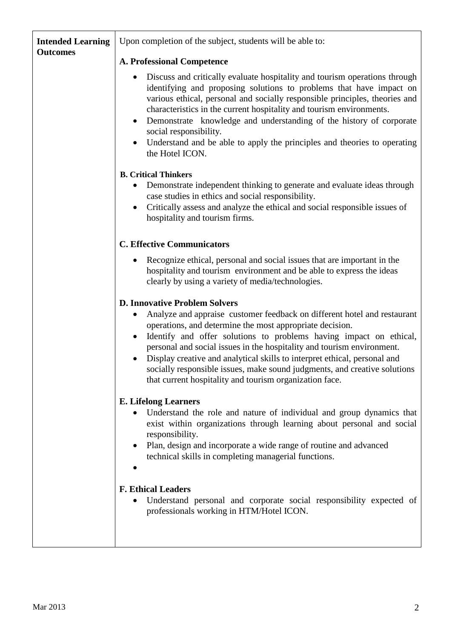| <b>Intended Learning</b><br><b>Outcomes</b> | Upon completion of the subject, students will be able to:                                                                                                                                                                                                                                                                                                                                                                                                                                                              |  |  |
|---------------------------------------------|------------------------------------------------------------------------------------------------------------------------------------------------------------------------------------------------------------------------------------------------------------------------------------------------------------------------------------------------------------------------------------------------------------------------------------------------------------------------------------------------------------------------|--|--|
|                                             | <b>A. Professional Competence</b>                                                                                                                                                                                                                                                                                                                                                                                                                                                                                      |  |  |
|                                             | Discuss and critically evaluate hospitality and tourism operations through<br>identifying and proposing solutions to problems that have impact on<br>various ethical, personal and socially responsible principles, theories and<br>characteristics in the current hospitality and tourism environments.<br>Demonstrate knowledge and understanding of the history of corporate<br>$\bullet$<br>social responsibility.<br>Understand and be able to apply the principles and theories to operating<br>the Hotel ICON.  |  |  |
|                                             | <b>B. Critical Thinkers</b>                                                                                                                                                                                                                                                                                                                                                                                                                                                                                            |  |  |
|                                             | Demonstrate independent thinking to generate and evaluate ideas through<br>case studies in ethics and social responsibility.<br>Critically assess and analyze the ethical and social responsible issues of<br>٠<br>hospitality and tourism firms.                                                                                                                                                                                                                                                                      |  |  |
|                                             | <b>C. Effective Communicators</b>                                                                                                                                                                                                                                                                                                                                                                                                                                                                                      |  |  |
|                                             | Recognize ethical, personal and social issues that are important in the<br>hospitality and tourism environment and be able to express the ideas<br>clearly by using a variety of media/technologies.                                                                                                                                                                                                                                                                                                                   |  |  |
|                                             | <b>D. Innovative Problem Solvers</b>                                                                                                                                                                                                                                                                                                                                                                                                                                                                                   |  |  |
|                                             | Analyze and appraise customer feedback on different hotel and restaurant<br>operations, and determine the most appropriate decision.<br>Identify and offer solutions to problems having impact on ethical,<br>$\bullet$<br>personal and social issues in the hospitality and tourism environment.<br>Display creative and analytical skills to interpret ethical, personal and<br>socially responsible issues, make sound judgments, and creative solutions<br>that current hospitality and tourism organization face. |  |  |
|                                             | <b>E. Lifelong Learners</b><br>Understand the role and nature of individual and group dynamics that<br>exist within organizations through learning about personal and social<br>responsibility.                                                                                                                                                                                                                                                                                                                        |  |  |
|                                             | Plan, design and incorporate a wide range of routine and advanced<br>technical skills in completing managerial functions.                                                                                                                                                                                                                                                                                                                                                                                              |  |  |
|                                             | <b>F. Ethical Leaders</b><br>Understand personal and corporate social responsibility expected of<br>professionals working in HTM/Hotel ICON.                                                                                                                                                                                                                                                                                                                                                                           |  |  |